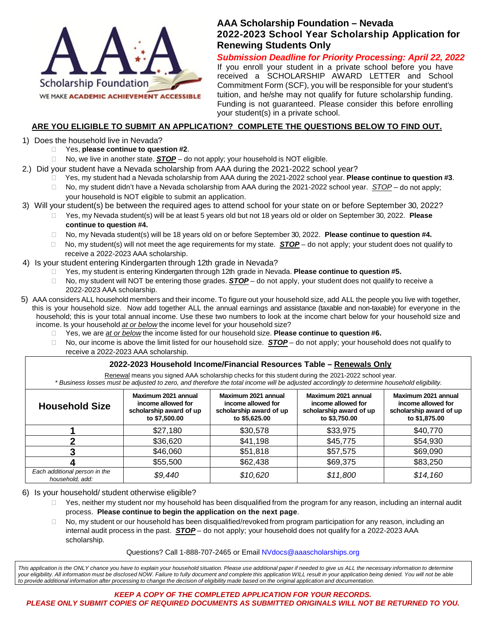

### **AAA Scholarship Foundation – Nevada 2022-2023 School Year Scholarship Application for Renewing Students Only**

*Submission Deadline for Priority Processing: April 22, 2022*

If you enroll your student in a private school before you have received a SCHOLARSHIP AWARD LETTER and School Commitment Form (SCF), you will be responsible for your student's tuition, and he/she may not qualify for future scholarship funding. Funding is not guaranteed. Please consider this before enrolling your student(s) in a private school.

### **ARE YOU ELIGIBLE TO SUBMIT AN APPLICATION? COMPLETE THE QUESTIONS BELOW TO FIND OUT.**

- 1) Does the household live in Nevada?
	- Yes, **please continue to question #2**.
	- $\Box$  No, we live in another state.  $\mathbf{STOP} -$  do not apply; your household is NOT eligible.
- 2.) Did your student have a Nevada scholarship from AAA during the 2021-2022 school year?
	- Yes, my student had a Nevada scholarship from AAA during the 2021-2022 school year. **Please continue to question #3**.
	- No, my student didn't have a Nevada scholarship from AAA during the 2021-2022 school year. *STOP* do not apply; your household is NOT eligible to submit an application.
- 3) Will your student(s) be between the required ages to attend school for your state on or before September 30, 2022?
	- Yes, my Nevada student(s) will be at least 5 years old but not 18 years old or older on September 30, 2022. **Please continue to question #4.**
	- No, my Nevada student(s) will be 18 years old on or before September 30, 2022. **Please continue to question #4.**
	- $\Box$  No, my student(s) will not meet the age requirements for my state. *STOP* do not apply; your student does not qualify to receive a 2022-2023 AAA scholarship.
- 4) Is your student entering Kindergarten through 12th grade in Nevada?
	- Yes, my student is entering Kindergarten through 12th grade in Nevada. **Please continue to question #5.**
	- No, my student will NOT be entering those grades. *STOP* do not apply, your student does not qualify to receive a 2022-2023 AAA scholarship.
- 5) AAA considers ALL household members and their income. To figure out your household size, add ALL the people you live with together, this is your household size. Now add together ALL the annual earnings and assistance (taxable and non-taxable) for everyone in the household; this is your total annual income. Use these two numbers to look at the income chart below for your household size and income. Is your household *at or below* the income level for your household size?
	- Yes, we are *at or below* the income listed for our household size. **Please continue to question #6.**
	- No, our income is above the limit listed for our household size. *STOP* do not apply; your household does not qualify to receive a 2022-2023 AAA scholarship.

#### **2022-2023 Household Income/Financial Resources Table – Renewals Only**

Renewal means you signed AAA scholarship checks for this student during the 2021-2022 school year. \* Business losses must be adjusted to zero, and therefore the total income will be adjusted accordingly to determine household eligibility.

| <b>Household Size</b>                            | Maximum 2021 annual<br>income allowed for<br>scholarship award of up<br>to \$7,500.00 | Maximum 2021 annual<br>income allowed for<br>scholarship award of up<br>to \$5,625.00 | Maximum 2021 annual<br>income allowed for<br>scholarship award of up<br>to \$3,750.00 | Maximum 2021 annual<br>income allowed for<br>scholarship award of up<br>to \$1,875.00 |
|--------------------------------------------------|---------------------------------------------------------------------------------------|---------------------------------------------------------------------------------------|---------------------------------------------------------------------------------------|---------------------------------------------------------------------------------------|
|                                                  | \$27,180                                                                              | \$30,578                                                                              | \$33,975                                                                              | \$40,770                                                                              |
|                                                  | \$36,620                                                                              | \$41,198                                                                              | \$45,775                                                                              | \$54,930                                                                              |
|                                                  | \$46,060                                                                              | \$51,818                                                                              | \$57,575                                                                              | \$69,090                                                                              |
|                                                  | \$55,500                                                                              | \$62,438                                                                              | \$69,375                                                                              | \$83,250                                                                              |
| Each additional person in the<br>household, add: | \$9,440                                                                               | \$10,620                                                                              | \$11,800                                                                              | \$14,160                                                                              |

- 6) Is your household/ student otherwise eligible?
	- $\Box$  Yes, neither my student nor my household has been disqualified from the program for any reason, including an internal audit process. **Please continue to begin the application on the next page**.
	- No, my student or our household has been disqualified/revoked from program participation for any reason, including an internal audit process in the past. *STOP* – do not apply; your household does not qualify for a 2022-2023 AAA scholarship.

Questions? Call 1-888-707-2465 or Email [NVdocs@aaascholarships.org](mailto:NVdocs@aaascholarships.org)

This application is the ONLY chance you have to explain your household situation. Please use additional paper if needed to give us ALL the necessary information to determine your eligibility. All information must be disclosed NOW. Failure to fully document and complete this application WILL result in your application being denied. You will not be able to provide additional information after processing to change the decision of eligibility made based on the original application and documentation.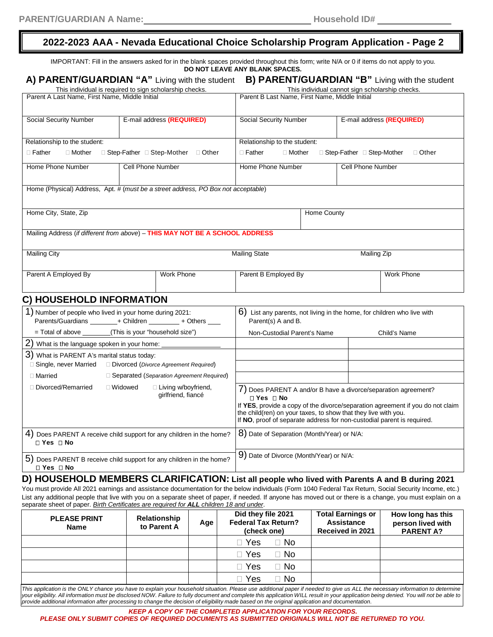# **2022-2023 AAA - Nevada Educational Choice Scholarship Program Application - Page 2**

|                                                                                                                       |                          | IMPORTANT: Fill in the answers asked for in the blank spaces provided throughout this form; write N/A or 0 if items do not apply to you.                                                                                                                                                                          | DO NOT LEAVE ANY BLANK SPACES.                                                                |             |                             |                                                 |
|-----------------------------------------------------------------------------------------------------------------------|--------------------------|-------------------------------------------------------------------------------------------------------------------------------------------------------------------------------------------------------------------------------------------------------------------------------------------------------------------|-----------------------------------------------------------------------------------------------|-------------|-----------------------------|-------------------------------------------------|
|                                                                                                                       |                          |                                                                                                                                                                                                                                                                                                                   | A) PARENT/GUARDIAN "A" Living with the student B) PARENT/GUARDIAN "B" Living with the student |             |                             |                                                 |
| This individual is required to sign scholarship checks.                                                               |                          |                                                                                                                                                                                                                                                                                                                   |                                                                                               |             |                             | This individual cannot sign scholarship checks. |
| Parent A Last Name, First Name, Middle Initial                                                                        |                          |                                                                                                                                                                                                                                                                                                                   | Parent B Last Name, First Name, Middle Initial                                                |             |                             |                                                 |
| Social Security Number                                                                                                |                          | E-mail address (REQUIRED)                                                                                                                                                                                                                                                                                         | Social Security Number                                                                        |             |                             | E-mail address (REQUIRED)                       |
| Relationship to the student:                                                                                          |                          |                                                                                                                                                                                                                                                                                                                   | Relationship to the student:                                                                  |             |                             |                                                 |
| $\Box$ Father<br>$\Box$ Mother                                                                                        |                          | □ Step-Father □ Step-Mother □ Other                                                                                                                                                                                                                                                                               | $\Box$ Father<br>□ Mother                                                                     |             | □ Step-Father □ Step-Mother | $\Box$ Other                                    |
| Home Phone Number                                                                                                     | <b>Cell Phone Number</b> |                                                                                                                                                                                                                                                                                                                   | Home Phone Number                                                                             |             | Cell Phone Number           |                                                 |
| Home (Physical) Address, Apt. # (must be a street address, PO Box not acceptable)                                     |                          |                                                                                                                                                                                                                                                                                                                   |                                                                                               |             |                             |                                                 |
| Home City, State, Zip                                                                                                 |                          |                                                                                                                                                                                                                                                                                                                   |                                                                                               | Home County |                             |                                                 |
| Mailing Address (if different from above) - THIS MAY NOT BE A SCHOOL ADDRESS                                          |                          |                                                                                                                                                                                                                                                                                                                   |                                                                                               |             |                             |                                                 |
|                                                                                                                       |                          |                                                                                                                                                                                                                                                                                                                   |                                                                                               |             |                             |                                                 |
| <b>Mailing City</b>                                                                                                   |                          |                                                                                                                                                                                                                                                                                                                   | <b>Mailing State</b>                                                                          |             | <b>Mailing Zip</b>          |                                                 |
| Parent A Employed By                                                                                                  |                          | Work Phone                                                                                                                                                                                                                                                                                                        | Parent B Employed By                                                                          |             |                             | <b>Work Phone</b>                               |
| C) HOUSEHOLD INFORMATION                                                                                              |                          |                                                                                                                                                                                                                                                                                                                   |                                                                                               |             |                             |                                                 |
| 1) Number of people who lived in your home during 2021:<br>Parents/Guardians ________+ Children ________+ Others ____ |                          | 6) List any parents, not living in the home, for children who live with<br>Parent(s) A and B.                                                                                                                                                                                                                     |                                                                                               |             |                             |                                                 |
|                                                                                                                       |                          |                                                                                                                                                                                                                                                                                                                   | Non-Custodial Parent's Name                                                                   |             |                             | Child's Name                                    |
| 2) What is the language spoken in your home: _                                                                        |                          |                                                                                                                                                                                                                                                                                                                   |                                                                                               |             |                             |                                                 |
| 3) What is PARENT A's marital status today:                                                                           |                          |                                                                                                                                                                                                                                                                                                                   |                                                                                               |             |                             |                                                 |
| □ Single, never Married                                                                                               |                          | Divorced (Divorce Agreement Required)                                                                                                                                                                                                                                                                             |                                                                                               |             |                             |                                                 |
| □ Married                                                                                                             |                          | □ Separated (Separation Agreement Required)                                                                                                                                                                                                                                                                       |                                                                                               |             |                             |                                                 |
| □ Divorced/Remarried<br>□ Living w/boyfriend,<br>□ Widowed<br>girlfriend, fiancé                                      |                          | 7) Does PARENT A and/or B have a divorce/separation agreement?<br><b>□ Yes □ No</b><br>If YES, provide a copy of the divorce/separation agreement if you do not claim<br>the child(ren) on your taxes, to show that they live with you.<br>If NO, proof of separate address for non-custodial parent is required. |                                                                                               |             |                             |                                                 |
| 4) Does PARENT A receive child support for any children in the home?<br>$\Box$ Yes $\Box$ No                          |                          | 8) Date of Separation (Month/Year) or N/A:                                                                                                                                                                                                                                                                        |                                                                                               |             |                             |                                                 |
| 5) Does PARENT B receive child support for any children in the home?<br>□ Yes □ No                                    |                          | 9) Date of Divorce (Month/Year) or N/A:                                                                                                                                                                                                                                                                           |                                                                                               |             |                             |                                                 |

You must provide All 2021 earnings and assistance documentation for the below individuals (Form 1040 Federal Tax Return, Social Security Income, etc.) List any additional people that live with you on a separate sheet of paper, if needed. If anyone has moved out or there is a change, you must explain on a separate sheet of paper. *Birth Certificates are required for ALL children 18 and under*.

| <b>PLEASE PRINT</b><br>Name | Relationship<br>to Parent A | Age | Did they file 2021<br><b>Federal Tax Return?</b><br>(check one) | <b>Total Earnings or</b><br><b>Assistance</b><br>Received in 2021 | How long has this<br>person lived with<br><b>PARENT A?</b> |
|-----------------------------|-----------------------------|-----|-----------------------------------------------------------------|-------------------------------------------------------------------|------------------------------------------------------------|
|                             |                             |     | $\Box$ No<br>$\square$ Yes                                      |                                                                   |                                                            |
|                             |                             |     | $\Box$ No<br>$\square$ Yes                                      |                                                                   |                                                            |
|                             |                             |     | $\Box$ No<br>$\Box$ Yes                                         |                                                                   |                                                            |
|                             |                             |     | $\Box$ No<br>∃ Yes                                              |                                                                   |                                                            |

This application is the ONLY chance you have to explain your household situation. Please use additional paper if needed to give us ALL the necessary information to determine your eligibility. All information must be disclosed NOW. Failure to fully document and complete this application WILL result in your application being denied. You will not be able to<br>provide additional information after pr

#### *KEEP A COPY OF THE COMPLETED APPLICATION FOR YOUR RECORDS.*

*PLEASE ONLY SUBMIT COPIES OF REQUIRED DOCUMENTS AS SUBMITTED ORIGINALS WILL NOT BE RETURNED TO YOU.*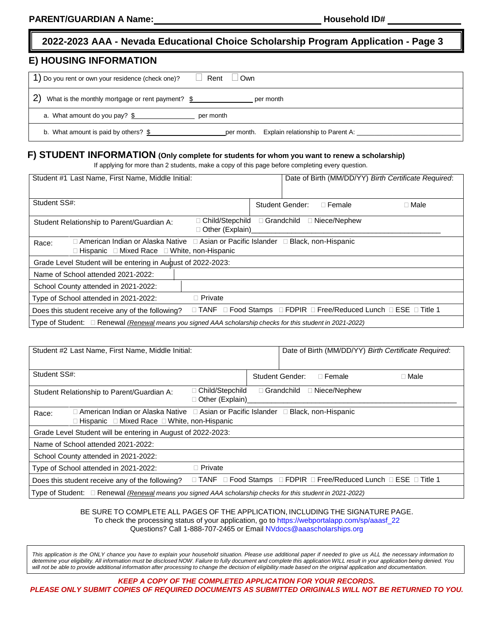# **2022-2023 AAA - Nevada Educational Choice Scholarship Program Application - Page 3**

### **E) HOUSING INFORMATION**

| 1) Do you rent or own your residence (check one)?<br>Rent □ Own                      |
|--------------------------------------------------------------------------------------|
| 2)<br>What is the monthly mortgage or rent payment? $$$<br>per month                 |
| a. What amount do you pay? $$$<br>per month                                          |
| b. What amount is paid by others? \$<br>per month. Explain relationship to Parent A: |

# **F) STUDENT INFORMATION (Only complete for students for whom you want to renew a scholarship)**

If applying for more than 2 students, make a copy of this page before completing every question.

| Student #1 Last Name, First Name, Middle Initial:                                                                                              | Date of Birth (MM/DD/YY) Birth Certificate Required:                                            |  |  |
|------------------------------------------------------------------------------------------------------------------------------------------------|-------------------------------------------------------------------------------------------------|--|--|
| Student SS#:                                                                                                                                   | Student Gender:<br>$\Box$ Male<br>$\Box$ Female                                                 |  |  |
| $\Box$ Child/Stepchild<br>Student Relationship to Parent/Guardian A:<br>□ Other (Explain)                                                      | □ Grandchild<br>$\square$ Niece/Nephew                                                          |  |  |
| □ American Indian or Alaska Native □ Asian or Pacific Islander □ Black, non-Hispanic<br>Race:<br>□ Hispanic □ Mixed Race □ White, non-Hispanic |                                                                                                 |  |  |
| Grade Level Student will be entering in August of 2022-2023:                                                                                   |                                                                                                 |  |  |
| Name of School attended 2021-2022:                                                                                                             |                                                                                                 |  |  |
| School County attended in 2021-2022:                                                                                                           |                                                                                                 |  |  |
| $\Box$ Private<br>Type of School attended in 2021-2022:                                                                                        |                                                                                                 |  |  |
| Does this student receive any of the following?                                                                                                | $\Box$ TANF $\Box$ Food Stamps $\Box$ FDPIR $\Box$ Free/Reduced Lunch $\Box$ ESE $\Box$ Title 1 |  |  |
| Type of Student: $\Box$ Renewal (Renewal means you signed AAA scholarship checks for this student in 2021-2022)                                |                                                                                                 |  |  |

| Student #2 Last Name, First Name, Middle Initial:                                                                                                             | Date of Birth (MM/DD/YY) Birth Certificate Required:              |  |  |  |
|---------------------------------------------------------------------------------------------------------------------------------------------------------------|-------------------------------------------------------------------|--|--|--|
| Student SS#:                                                                                                                                                  | Student Gender:<br>$\Box$ Female<br>$\Box$ Male                   |  |  |  |
| Child/Stepchild<br>Student Relationship to Parent/Guardian A:<br>□ Other (Explain)_                                                                           | □ Niece/Nephew<br>$\Box$ Grandchild                               |  |  |  |
| □ American Indian or Alaska Native □ Asian or Pacific Islander □ Black, non-Hispanic<br>Race:<br>$\Box$ Hispanic $\Box$ Mixed Race $\Box$ White, non-Hispanic |                                                                   |  |  |  |
| Grade Level Student will be entering in August of 2022-2023:                                                                                                  |                                                                   |  |  |  |
| Name of School attended 2021-2022:                                                                                                                            |                                                                   |  |  |  |
| School County attended in 2021-2022:                                                                                                                          |                                                                   |  |  |  |
| $\Box$ Private<br>Type of School attended in 2021-2022:                                                                                                       |                                                                   |  |  |  |
| Does this student receive any of the following?                                                                                                               | □ TANF □ Food Stamps □ FDPIR □ Free/Reduced Lunch □ ESE □ Title 1 |  |  |  |
| Type of Student: $\Box$ Renewal (Renewal means you signed AAA scholarship checks for this student in 2021-2022)                                               |                                                                   |  |  |  |

#### BE SURE TO COMPLETE ALL PAGES OF THE APPLICATION, INCLUDING THE SIGNATURE PAGE. To check the processing status of your application, go t[o https://webportalapp.com/sp/aaasf\\_22](https://webportalapp.com/sp/aaasf_22) Questions? Call 1-888-707-2465 or Email [NVdocs@aaascholarships.org](mailto:NVdocs@aaascholarships.org)

This application is the ONLY chance you have to explain your household situation. Please use additional paper if needed to give us ALL the necessary information to determine your eligibility. All information must be disclosed NOW. Failure to fully document and complete this application WILL result in your application being denied. You will not be able to provide additional information after processing to change the decision of eligibility made based on the original application and documentation.

*KEEP A COPY OF THE COMPLETED APPLICATION FOR YOUR RECORDS. PLEASE ONLY SUBMIT COPIES OF REQUIRED DOCUMENTS AS SUBMITTED ORIGINALS WILL NOT BE RETURNED TO YOU.*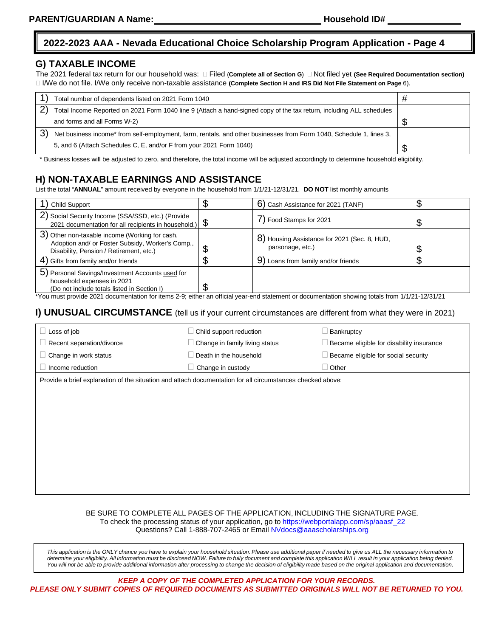# **2022-2023 AAA - Nevada Educational Choice Scholarship Program Application - Page 4**

### **G) TAXABLE INCOME**

The 2021 federal tax return for our household was: □ Filed (Complete all of Section G) □ Not filed yet (See Required Documentation section) I/We do not file. I/We only receive non-taxable assistance **(Complete Section H and IRS Did Not File Statement on Page** 6).

|    | Total number of dependents listed on 2021 Form 1040                                                                  |  |
|----|----------------------------------------------------------------------------------------------------------------------|--|
|    | Total Income Reported on 2021 Form 1040 line 9 (Attach a hand-signed copy of the tax return, including ALL schedules |  |
|    | and forms and all Forms W-2)                                                                                         |  |
| 3) | Net business income* from self-employment, farm, rentals, and other businesses from Form 1040, Schedule 1, lines 3,  |  |
|    | 5, and 6 (Attach Schedules C, E, and/or F from your 2021 Form 1040)                                                  |  |

\* Business losses will be adjusted to zero, and therefore, the total income will be adjusted accordingly to determine household eligibility.

# **H) NON-TAXABLE EARNINGS AND ASSISTANCE**

List the total "**ANNUAL**" amount received by everyone in the household from 1/1/21-12/31/21. **DO NOT** list monthly amounts

| Child Support                                                                                                                                                                                                                                                                                              |   | 6) Cash Assistance for 2021 (TANF)                               |  |
|------------------------------------------------------------------------------------------------------------------------------------------------------------------------------------------------------------------------------------------------------------------------------------------------------------|---|------------------------------------------------------------------|--|
| 2) Social Security Income (SSA/SSD, etc.) (Provide<br>2021 documentation for all recipients in household.) $\oint$                                                                                                                                                                                         |   | 7) Food Stamps for 2021                                          |  |
| 3) Other non-taxable income (Working for cash,<br>Adoption and/ or Foster Subsidy, Worker's Comp.,<br>Disability, Pension / Retirement, etc.)                                                                                                                                                              | ጥ | 8) Housing Assistance for 2021 (Sec. 8, HUD,<br>parsonage, etc.) |  |
| 4) Gifts from family and/or friends                                                                                                                                                                                                                                                                        |   | 9<br>Loans from family and/or friends                            |  |
| 5) Personal Savings/Investment Accounts used for<br>household expenses in 2021<br>(Do not include totals listed in Section I)<br>tive in a second and decided the factors of a stress of all close and statement of decided and competitive total and the factor of the total of the total of the total of |   |                                                                  |  |

\*You must provide 2021 documentation for items 2-9; either an official year-end statement or documentation showing totals from 1/1/21-12/31/21

### **I) UNUSUAL CIRCUMSTANCE** (tell us if your current circumstances are different from what they were in 2021)

| Loss of job                                                                                                | Child support reduction        | Bankruptcy                                      |  |
|------------------------------------------------------------------------------------------------------------|--------------------------------|-------------------------------------------------|--|
| Recent separation/divorce                                                                                  | Change in family living status | $\Box$ Became eligible for disability insurance |  |
| $\Box$ Change in work status                                                                               | Death in the household         | $\Box$ Became eligible for social security      |  |
| Income reduction                                                                                           | Change in custody              | Other                                           |  |
| Provide a brief explanation of the situation and attach documentation for all circumstances checked above: |                                |                                                 |  |

### BE SURE TO COMPLETE ALL PAGES OF THE APPLICATION, INCLUDING THE SIGNATURE PAGE. To check the processing status of your application, go to [https://webportalapp.com/sp/aaasf\\_22](https://webportalapp.com/sp/aaasf_22)

Questions? Call 1-888-707-2465 or Emai[l NVdocs@aaascholarships.org](mailto:NVdocs@aaascholarships.org)

This application is the ONLY chance you have to explain your household situation. Please use additional paper if needed to give us ALL the necessary information to determine your eligibility. All information must be disclosed NOW. Failure to fully document and complete this application WILL result in your application being denied. You will not be able to provide additional information after processing to change the decision of eligibility made based on the original application and documentation.

*KEEP A COPY OF THE COMPLETED APPLICATION FOR YOUR RECORDS. PLEASE ONLY SUBMIT COPIES OF REQUIRED DOCUMENTS AS SUBMITTED ORIGINALS WILL NOT BE RETURNED TO YOU.*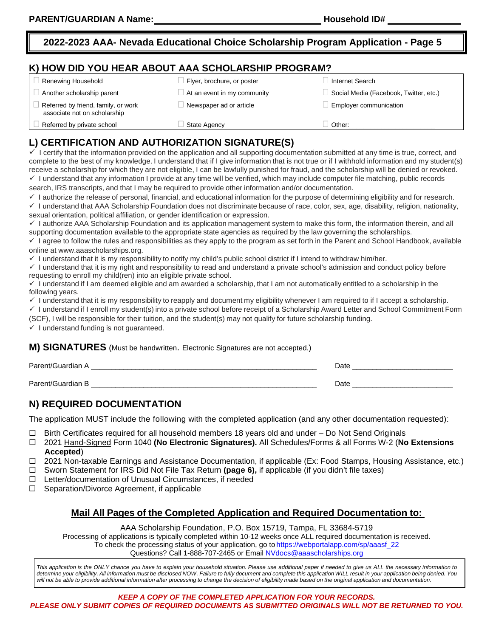# **2022-2023 AAA- Nevada Educational Choice Scholarship Program Application - Page 5**

## **K) HOW DID YOU HEAR ABOUT AAA SCHOLARSHIP PROGRAM?**

| $\Box$ Renewing Household                                           | Flyer, brochure, or poster         | Internet Search                        |
|---------------------------------------------------------------------|------------------------------------|----------------------------------------|
| Another scholarship parent                                          | $\Box$ At an event in my community | Social Media (Facebook, Twitter, etc.) |
| Referred by friend, family, or work<br>associate not on scholarship | Newspaper ad or article            | Employer communication                 |
| Referred by private school                                          | State Agency                       | Other:                                 |

# **L) CERTIFICATION AND AUTHORIZATION SIGNATURE(S)**

I certify that the information provided on the application and all supporting documentation submitted at any time is true, correct, and complete to the best of my knowledge. I understand that if I give information that is not true or if I withhold information and my student(s) receive a scholarship for which they are not eligible, I can be lawfully punished for fraud, and the scholarship will be denied or revoked.  $\checkmark$  I understand that any information I provide at any time will be verified, which may include computer file matching, public records

search, IRS transcripts, and that I may be required to provide other information and/or documentation.

 $\checkmark$  I authorize the release of personal, financial, and educational information for the purpose of determining eligibility and for research.

 $\checkmark$  I understand that AAA Scholarship Foundation does not discriminate because of race, color, sex, age, disability, religion, nationality, sexual orientation, political affiliation, or gender identification or expression.

 I authorize AAA Scholarship Foundation and its application management system to make this form, the information therein, and all supporting documentation available to the appropriate state agencies as required by the law governing the scholarships.

 $\checkmark$  I agree to follow the rules and responsibilities as they apply to the program as set forth in the Parent and School Handbook, available online at [www.aaascholarships.org.](http://www.aaascholarships.org/)

 $\checkmark$  I understand that it is my responsibility to notify my child's public school district if I intend to withdraw him/her.

 $\checkmark$  I understand that it is my right and responsibility to read and understand a private school's admission and conduct policy before requesting to enroll my child(ren) into an eligible private school.

 $\checkmark$  I understand if I am deemed eligible and am awarded a scholarship, that I am not automatically entitled to a scholarship in the following years.

 $\checkmark$  I understand that it is my responsibility to reapply and document my eligibility whenever I am required to if I accept a scholarship.

√ I understand if I enroll my student(s) into a private school before receipt of a Scholarship Award Letter and School Commitment Form (SCF), I will be responsible for their tuition, and the student(s) may not qualify for future scholarship funding.

 $\checkmark$  I understand funding is not guaranteed.

### **M) SIGNATURES** (Must be handwritten. Electronic Signatures are not accepted.)

| Parent/Guardian      | Date |
|----------------------|------|
| Parent/Guardian<br>Þ | Date |

# **N) REQUIRED DOCUMENTATION**

The application MUST include the following with the completed application (and any other documentation requested):

 $□$  Birth Certificates required for all household members 18 years old and under – Do Not Send Originals  $□$  2021 Hand-Signed Form 1040 (No Electronic Signatures). All Schedules/Forms & all Forms W-2 (No

 2021 Hand-Signed Form 1040 **(No Electronic Signatures).** All Schedules/Forms & all Forms W-2 (**No Extensions Accepted**)

2021 Non-taxable Earnings and Assistance Documentation, if applicable (Ex: Food Stamps, Housing Assistance, etc.)

- □ Sworn Statement for IRS Did Not File Tax Return (page 6), if applicable (if you didn't file taxes)
- $\Box$  Letter/documentation of Unusual Circumstances, if needed

 $\Box$  Separation/Divorce Agreement, if applicable

### **Mail All Pages of the Completed Application and Required Documentation to:**

### AAA Scholarship Foundation, P.O. Box 15719, Tampa, FL 33684-5719

Processing of applications is typically completed within 10-12 weeks once ALL required documentation is received. To check the processing status of your application, go to [https://webportalapp.com/sp/aaasf\\_22](https://webportalapp.com/sp/aaasf_22) Questions? Call 1-888-707-2465 or Email [NVdocs@aaascholarships.org](mailto:NVdocs@aaascholarships.org)

This application is the ONLY chance you have to explain your household situation. Please use additional paper if needed to give us ALL the necessary information to determine your eligibility. All information must be disclosed NOW. Failure to fully document and complete this application WILL result in your application being denied. You will not be able to provide additional information after processing to change the decision of eligibility made based on the original application and documentation.